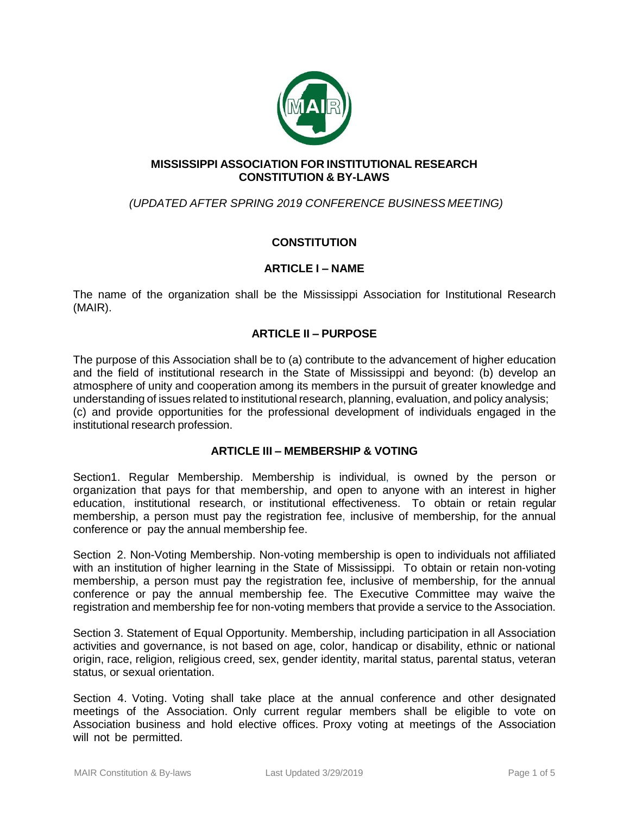

### **MISSISSIPPI ASSOCIATION FOR INSTITUTIONAL RESEARCH CONSTITUTION & BY-LAWS**

# *(UPDATED AFTER SPRING 2019 CONFERENCE BUSINESS MEETING)*

# **CONSTITUTION**

## **ARTICLE I – NAME**

The name of the organization shall be the Mississippi Association for Institutional Research (MAIR).

## **ARTICLE II – PURPOSE**

The purpose of this Association shall be to (a) contribute to the advancement of higher education and the field of institutional research in the State of Mississippi and beyond: (b) develop an atmosphere of unity and cooperation among its members in the pursuit of greater knowledge and understanding of issues related to institutional research, planning, evaluation, and policy analysis; (c) and provide opportunities for the professional development of individuals engaged in the institutional research profession.

#### **ARTICLE III – MEMBERSHIP & VOTING**

Section1. Regular Membership. Membership is individual, is owned by the person or organization that pays for that membership, and open to anyone with an interest in higher education, institutional research, or institutional effectiveness. To obtain or retain regular membership, a person must pay the registration fee, inclusive of membership, for the annual conference or pay the annual membership fee.

Section 2. Non-Voting Membership. Non-voting membership is open to individuals not affiliated with an institution of higher learning in the State of Mississippi. To obtain or retain non-voting membership, a person must pay the registration fee, inclusive of membership, for the annual conference or pay the annual membership fee. The Executive Committee may waive the registration and membership fee for non-voting members that provide a service to the Association.

Section 3. Statement of Equal Opportunity. Membership, including participation in all Association activities and governance, is not based on age, color, handicap or disability, ethnic or national origin, race, religion, religious creed, sex, gender identity, marital status, parental status, veteran status, or sexual orientation.

Section 4. Voting. Voting shall take place at the annual conference and other designated meetings of the Association. Only current regular members shall be eligible to vote on Association business and hold elective offices. Proxy voting at meetings of the Association will not be permitted.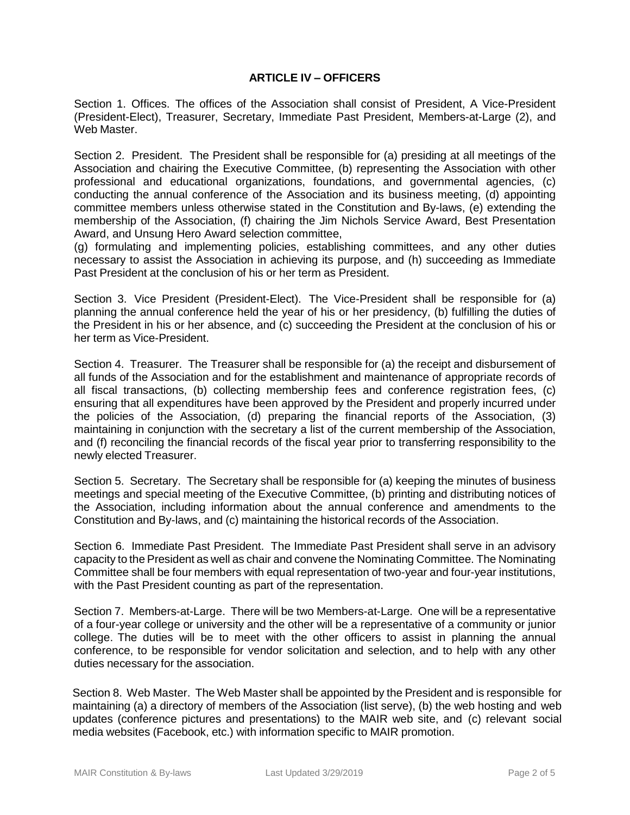### **ARTICLE IV – OFFICERS**

Section 1. Offices. The offices of the Association shall consist of President, A Vice-President (President-Elect), Treasurer, Secretary, Immediate Past President, Members-at-Large (2), and Web Master.

Section 2. President. The President shall be responsible for (a) presiding at all meetings of the Association and chairing the Executive Committee, (b) representing the Association with other professional and educational organizations, foundations, and governmental agencies, (c) conducting the annual conference of the Association and its business meeting, (d) appointing committee members unless otherwise stated in the Constitution and By-laws, (e) extending the membership of the Association, (f) chairing the Jim Nichols Service Award, Best Presentation Award, and Unsung Hero Award selection committee,

(g) formulating and implementing policies, establishing committees, and any other duties necessary to assist the Association in achieving its purpose, and (h) succeeding as Immediate Past President at the conclusion of his or her term as President.

Section 3. Vice President (President-Elect). The Vice-President shall be responsible for (a) planning the annual conference held the year of his or her presidency, (b) fulfilling the duties of the President in his or her absence, and (c) succeeding the President at the conclusion of his or her term as Vice-President.

Section 4. Treasurer. The Treasurer shall be responsible for (a) the receipt and disbursement of all funds of the Association and for the establishment and maintenance of appropriate records of all fiscal transactions, (b) collecting membership fees and conference registration fees, (c) ensuring that all expenditures have been approved by the President and properly incurred under the policies of the Association, (d) preparing the financial reports of the Association, (3) maintaining in conjunction with the secretary a list of the current membership of the Association, and (f) reconciling the financial records of the fiscal year prior to transferring responsibility to the newly elected Treasurer.

Section 5. Secretary. The Secretary shall be responsible for (a) keeping the minutes of business meetings and special meeting of the Executive Committee, (b) printing and distributing notices of the Association, including information about the annual conference and amendments to the Constitution and By-laws, and (c) maintaining the historical records of the Association.

Section 6. Immediate Past President. The Immediate Past President shall serve in an advisory capacity to the President as well as chair and convene the Nominating Committee. The Nominating Committee shall be four members with equal representation of two-year and four-year institutions, with the Past President counting as part of the representation.

Section 7. Members-at-Large. There will be two Members-at-Large. One will be a representative of a four-year college or university and the other will be a representative of a community or junior college. The duties will be to meet with the other officers to assist in planning the annual conference, to be responsible for vendor solicitation and selection, and to help with any other duties necessary for the association.

Section 8. Web Master. The Web Master shall be appointed by the President and is responsible for maintaining (a) a directory of members of the Association (list serve), (b) the web hosting and web updates (conference pictures and presentations) to the MAIR web site, and (c) relevant social media websites (Facebook, etc.) with information specific to MAIR promotion.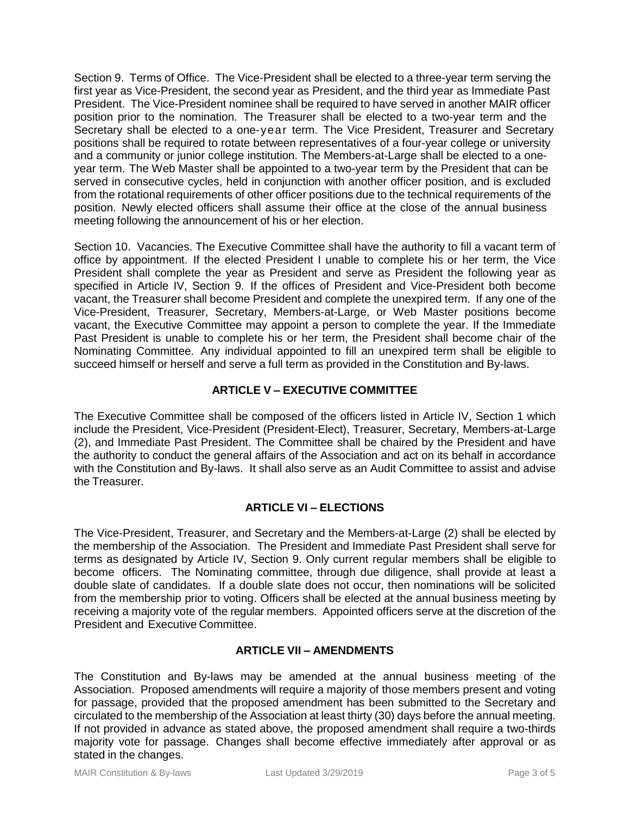Section 9. Terms of Office. The Vice-President shall be elected to a three-year term serving the first year as Vice-President, the second year as President, and the third year as Immediate Past President. The Vice-President nominee shall be required to have served in another MAIR officer position prior to the nomination. The Treasurer shall be elected to a two-year term and the Secretary shall be elected to a one-year term. The Vice President, Treasurer and Secretary positions shall be required to rotate between representatives of a four-year college or university and a community or junior college institution. The Members-at-Large shall be elected to a oneyear term. The Web Master shall be appointed to a two-year term by the President that can be served in consecutive cycles, held in conjunction with another officer position, and is excluded from the rotational requirements of other officer positions due to the technical requirements of the position. Newly elected officers shall assume their office at the close of the annual business meeting following the announcement of his or her election.

Section 10. Vacancies. The Executive Committee shall have the authority to fill a vacant term of office by appointment. If the elected President I unable to complete his or her term, the Vice President shall complete the year as President and serve as President the following year as specified in Article IV, Section 9. If the offices of President and Vice-President both become vacant, the Treasurer shall become President and complete the unexpired term. If any one of the Vice-President, Treasurer, Secretary, Members-at-Large, or Web Master positions become vacant, the Executive Committee may appoint a person to complete the year. If the Immediate Past President is unable to complete his or her term, the President shall become chair of the Nominating Committee. Any individual appointed to fill an unexpired term shall be eligible to succeed himself or herself and serve a full term as provided in the Constitution and By-laws.

# **ARTICLE V – EXECUTIVE COMMITTEE**

The Executive Committee shall be composed of the officers listed in Article IV, Section 1 which include the President, Vice-President (President-Elect), Treasurer, Secretary, Members-at-Large (2), and Immediate Past President. The Committee shall be chaired by the President and have the authority to conduct the general affairs of the Association and act on its behalf in accordance with the Constitution and By-laws. It shall also serve as an Audit Committee to assist and advise the Treasurer.

# **ARTICLE VI – ELECTIONS**

The Vice-President, Treasurer, and Secretary and the Members-at-Large (2) shall be elected by the membership of the Association. The President and Immediate Past President shall serve for terms as designated by Article IV, Section 9. Only current regular members shall be eligible to become officers. The Nominating committee, through due diligence, shall provide at least a double slate of candidates. If a double slate does not occur, then nominations will be solicited from the membership prior to voting. Officers shall be elected at the annual business meeting by receiving a majority vote of the regular members. Appointed officers serve at the discretion of the President and Executive Committee.

## **ARTICLE VII – AMENDMENTS**

The Constitution and By-laws may be amended at the annual business meeting of the Association. Proposed amendments will require a majority of those members present and voting for passage, provided that the proposed amendment has been submitted to the Secretary and circulated to the membership of the Association at least thirty (30) days before the annual meeting. If not provided in advance as stated above, the proposed amendment shall require a two-thirds majority vote for passage. Changes shall become effective immediately after approval or as stated in the changes.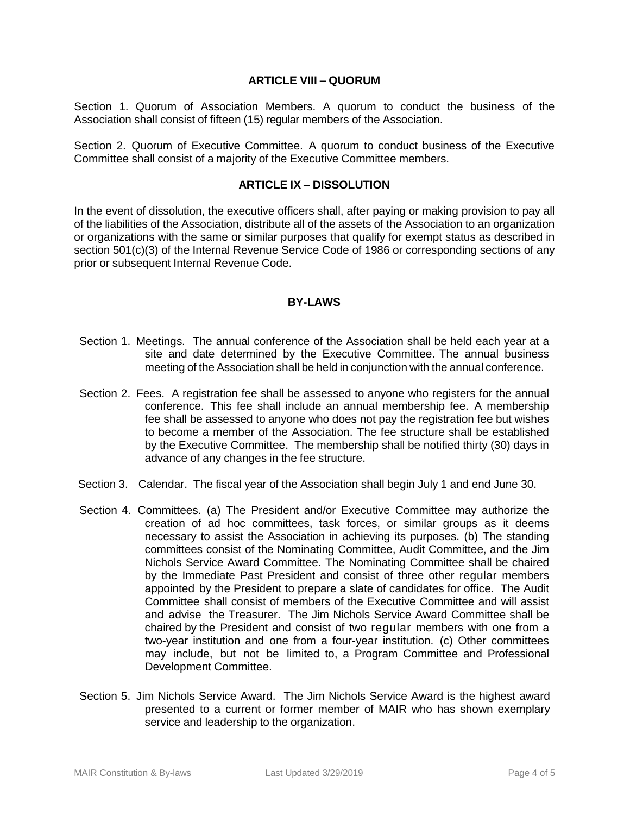#### **ARTICLE VIII – QUORUM**

Section 1. Quorum of Association Members. A quorum to conduct the business of the Association shall consist of fifteen (15) regular members of the Association.

Section 2. Quorum of Executive Committee. A quorum to conduct business of the Executive Committee shall consist of a majority of the Executive Committee members.

#### **ARTICLE IX – DISSOLUTION**

In the event of dissolution, the executive officers shall, after paying or making provision to pay all of the liabilities of the Association, distribute all of the assets of the Association to an organization or organizations with the same or similar purposes that qualify for exempt status as described in section 501(c)(3) of the Internal Revenue Service Code of 1986 or corresponding sections of any prior or subsequent Internal Revenue Code.

#### **BY-LAWS**

- Section 1. Meetings. The annual conference of the Association shall be held each year at a site and date determined by the Executive Committee. The annual business meeting of the Association shall be held in conjunction with the annual conference.
- Section 2. Fees. A registration fee shall be assessed to anyone who registers for the annual conference. This fee shall include an annual membership fee. A membership fee shall be assessed to anyone who does not pay the registration fee but wishes to become a member of the Association. The fee structure shall be established by the Executive Committee. The membership shall be notified thirty (30) days in advance of any changes in the fee structure.
- Section 3. Calendar. The fiscal year of the Association shall begin July 1 and end June 30.
- Section 4. Committees. (a) The President and/or Executive Committee may authorize the creation of ad hoc committees, task forces, or similar groups as it deems necessary to assist the Association in achieving its purposes. (b) The standing committees consist of the Nominating Committee, Audit Committee, and the Jim Nichols Service Award Committee. The Nominating Committee shall be chaired by the Immediate Past President and consist of three other regular members appointed by the President to prepare a slate of candidates for office. The Audit Committee shall consist of members of the Executive Committee and will assist and advise the Treasurer. The Jim Nichols Service Award Committee shall be chaired by the President and consist of two regular members with one from a two-year institution and one from a four-year institution. (c) Other committees may include, but not be limited to, a Program Committee and Professional Development Committee.
- Section 5. Jim Nichols Service Award. The Jim Nichols Service Award is the highest award presented to a current or former member of MAIR who has shown exemplary service and leadership to the organization.